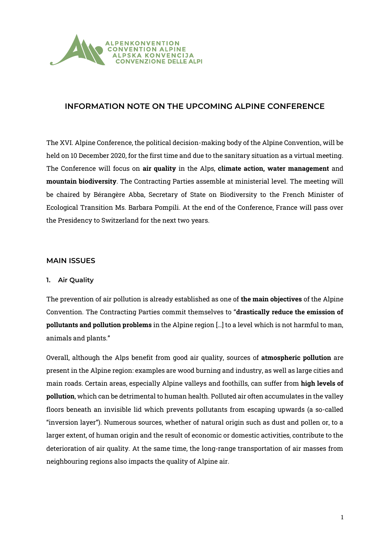

# **INFORMATION NOTE ON THE UPCOMING ALPINE CONFERENCE**

The XVI. Alpine Conference, the political decision-making body of the Alpine Convention, will be held on 10 December 2020, for the first time and due to the sanitary situation as a virtual meeting. The Conference will focus on **air quality** in the Alps, **climate action, water management** and **mountain biodiversity**. The Contracting Parties assemble at ministerial level. The meeting will be chaired by Bérangère Abba, Secretary of State on Biodiversity to the French Minister of Ecological Transition Ms. Barbara Pompili. At the end of the Conference, France will pass over the Presidency to Switzerland for the next two years.

# **MAIN ISSUES**

### **1. Air Quality**

The prevention of air pollution is already established as one of **the main objectives** of the Alpine Convention. The Contracting Parties commit themselves to "**drastically reduce the emission of pollutants and pollution problems** in the Alpine region […] to a level which is not harmful to man, animals and plants."

Overall, although the Alps benefit from good air quality, sources of **atmospheric pollution** are present in the Alpine region: examples are wood burning and industry, as well as large cities and main roads. Certain areas, especially Alpine valleys and foothills, can suffer from **high levels of pollution**, which can be detrimental to human health. Polluted air often accumulates in the valley floors beneath an invisible lid which prevents pollutants from escaping upwards (a so-called "inversion layer"). Numerous sources, whether of natural origin such as dust and pollen or, to a larger extent, of human origin and the result of economic or domestic activities, contribute to the deterioration of air quality. At the same time, the long-range transportation of air masses from neighbouring regions also impacts the quality of Alpine air.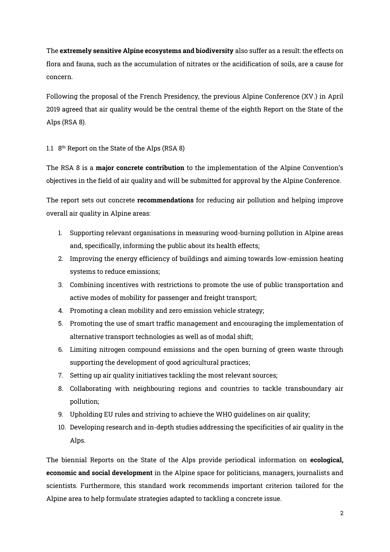The **extremely sensitive Alpine ecosystems and biodiversity** also suffer as a result: the effects on flora and fauna, such as the accumulation of nitrates or the acidification of soils, are a cause for concern.

Following the proposal of the French Presidency, the previous Alpine Conference (XV.) in April 2019 agreed that air quality would be the central theme of the eighth Report on the State of the Alps (RSA 8).

### 1.1 8 th Report on the State of the Alps (RSA 8)

The RSA 8 is a **major concrete contribution** to the implementation of the Alpine Convention's objectives in the field of air quality and will be submitted for approval by the Alpine Conference.

The report sets out concrete **recommendations** for reducing air pollution and helping improve overall air quality in Alpine areas:

- 1. Supporting relevant organisations in measuring wood-burning pollution in Alpine areas and, specifically, informing the public about its health effects;
- 2. Improving the energy efficiency of buildings and aiming towards low-emission heating systems to reduce emissions;
- 3. Combining incentives with restrictions to promote the use of public transportation and active modes of mobility for passenger and freight transport;
- 4. Promoting a clean mobility and zero emission vehicle strategy;
- 5. Promoting the use of smart traffic management and encouraging the implementation of alternative transport technologies as well as of modal shift;
- 6. Limiting nitrogen compound emissions and the open burning of green waste through supporting the development of good agricultural practices;
- 7. Setting up air quality initiatives tackling the most relevant sources;
- 8. Collaborating with neighbouring regions and countries to tackle transboundary air pollution;
- 9. Upholding EU rules and striving to achieve the WHO guidelines on air quality;
- 10. Developing research and in-depth studies addressing the specificities of air quality in the Alps.

The biennial Reports on the State of the Alps provide periodical information on **ecological, economic and social development** in the Alpine space for politicians, managers, journalists and scientists. Furthermore, this standard work recommends important criterion tailored for the Alpine area to help formulate strategies adapted to tackling a concrete issue.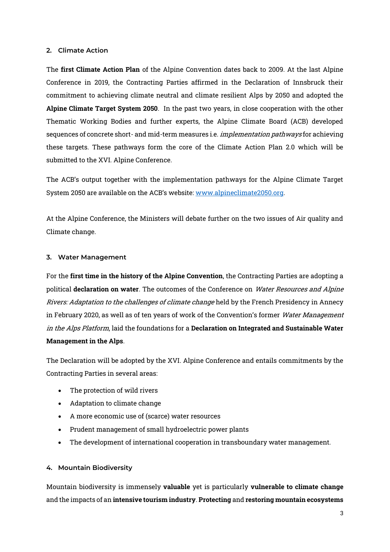### **2. Climate Action**

The **first Climate Action Plan** of the Alpine Convention dates back to 2009. At the last Alpine Conference in 2019, the Contracting Parties affirmed in the Declaration of Innsbruck their commitment to achieving climate neutral and climate resilient Alps by 2050 and adopted the **Alpine Climate Target System 2050**. In the past two years, in close cooperation with the other Thematic Working Bodies and further experts, the Alpine Climate Board (ACB) developed sequences of concrete short- and mid-term measures *i.e. implementation pathways* for achieving these targets. These pathways form the core of the Climate Action Plan 2.0 which will be submitted to the XVI. Alpine Conference.

The ACB's output together with the implementation pathways for the Alpine Climate Target System 2050 are available on the ACB's website: [www.alpineclimate2050.org.](http://www.alpineclimate2050.org/)

At the Alpine Conference, the Ministers will debate further on the two issues of Air quality and Climate change.

### **3. Water Management**

For the **first time in the history of the Alpine Convention**, the Contracting Parties are adopting a political **declaration on water**. The outcomes of the Conference on Water Resources and Alpine Rivers: Adaptation to the challenges of climate change held by the French Presidency in Annecy in February 2020, as well as of ten years of work of the Convention's former Water Management in the Alps Platform, laid the foundations for a **Declaration on Integrated and Sustainable Water Management in the Alps**.

The Declaration will be adopted by the XVI. Alpine Conference and entails commitments by the Contracting Parties in several areas:

- The protection of wild rivers
- Adaptation to climate change
- A more economic use of (scarce) water resources
- Prudent management of small hydroelectric power plants
- The development of international cooperation in transboundary water management.

### **4. Mountain Biodiversity**

Mountain biodiversity is immensely **valuable** yet is particularly **vulnerable to climate change** and the impacts of an **intensive tourism industry**. **Protecting** and **restoring mountain ecosystems**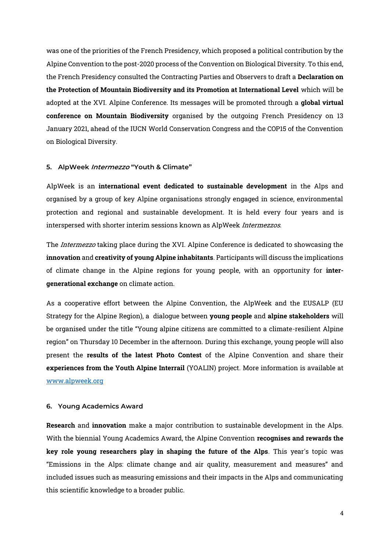was one of the priorities of the French Presidency, which proposed a political contribution by the Alpine Convention to the post-2020 process of the Convention on Biological Diversity. To this end, the French Presidency consulted the Contracting Parties and Observers to draft a **Declaration on the Protection of Mountain Biodiversity and its Promotion at International Level** which will be adopted at the XVI. Alpine Conference. Its messages will be promoted through a **global virtual conference on Mountain Biodiversity** organised by the outgoing French Presidency on 13 January 2021, ahead of the IUCN World Conservation Congress and the COP15 of the Convention on Biological Diversity.

#### **5. AlpWeek Intermezzo "Youth & Climate"**

AlpWeek is an **international event dedicated to sustainable development** in the Alps and organised by a group of key Alpine organisations strongly engaged in science, environmental protection and regional and sustainable development. It is held every four years and is interspersed with shorter interim sessions known as AlpWeek Intermezzos.

The *Intermezzo* taking place during the XVI. Alpine Conference is dedicated to showcasing the **innovation** and **creativity of young Alpine inhabitants**. Participants will discuss the implications of climate change in the Alpine regions for young people, with an opportunity for **intergenerational exchange** on climate action.

As a cooperative effort between the Alpine Convention, the AlpWeek and the EUSALP (EU Strategy for the Alpine Region), a dialogue between **young people** and **alpine stakeholders** will be organised under the title "Young alpine citizens are committed to a climate-resilient Alpine region" on Thursday 10 December in the afternoon. During this exchange, young people will also present the **results of the latest Photo Contest** of the Alpine Convention and share their **experiences from the Youth Alpine Interrail** (YOALIN) project. More information is available at [www.alpweek.org](http://www.alpweek.org/)

#### **6. Young Academics Award**

**Research** and **innovation** make a major contribution to sustainable development in the Alps. With the biennial Young Academics Award, the Alpine Convention **recognises and rewards the key role young researchers play in shaping the future of the Alps**. This year's topic was "Emissions in the Alps: climate change and air quality, measurement and measures" and included issues such as measuring emissions and their impacts in the Alps and communicating this scientific knowledge to a broader public.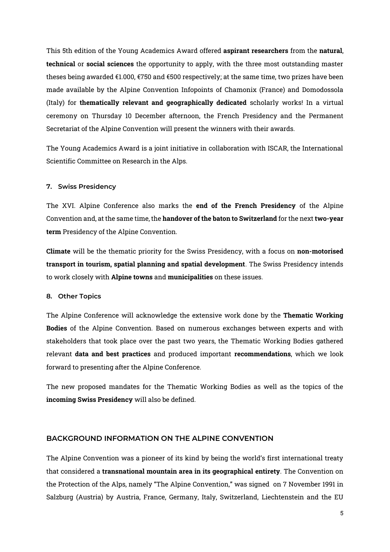This 5th edition of the Young Academics Award offered **aspirant researchers** from the **natural**, **technical** or **social sciences** the opportunity to apply, with the three most outstanding master theses being awarded €1.000, €750 and €500 respectively; at the same time, two prizes have been made available by the Alpine Convention Infopoints of Chamonix (France) and Domodossola (Italy) for **thematically relevant and geographically dedicated** scholarly works! In a virtual ceremony on Thursday 10 December afternoon, the French Presidency and the Permanent Secretariat of the Alpine Convention will present the winners with their awards.

The Young Academics Award is a joint initiative in collaboration with ISCAR, the International Scientific Committee on Research in the Alps.

#### **7. Swiss Presidency**

The XVI. Alpine Conference also marks the **end of the French Presidency** of the Alpine Convention and, at the same time, the **handover of the baton to Switzerland** for the next **two-year term** Presidency of the Alpine Convention.

**Climate** will be the thematic priority for the Swiss Presidency, with a focus on **non-motorised transport in tourism, spatial planning and spatial development**. The Swiss Presidency intends to work closely with **Alpine towns** and **municipalities** on these issues.

#### **8. Other Topics**

The Alpine Conference will acknowledge the extensive work done by the **Thematic Working Bodies** of the Alpine Convention. Based on numerous exchanges between experts and with stakeholders that took place over the past two years, the Thematic Working Bodies gathered relevant **data and best practices** and produced important **recommendations**, which we look forward to presenting after the Alpine Conference.

The new proposed mandates for the Thematic Working Bodies as well as the topics of the **incoming Swiss Presidency** will also be defined.

### **BACKGROUND INFORMATION ON THE ALPINE CONVENTION**

The Alpine Convention was a pioneer of its kind by being the world's first international treaty that considered a **transnational mountain area in its geographical entirety**. The Convention on the Protection of the Alps, namely "The Alpine Convention," was signed on 7 November 1991 in Salzburg (Austria) by Austria, France, Germany, Italy, Switzerland, Liechtenstein and the EU